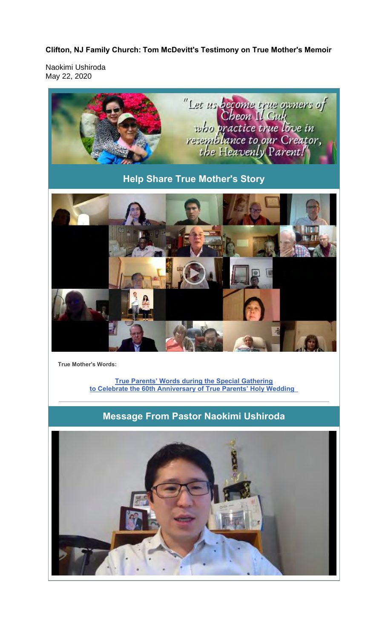## **Clifton, NJ Family Church: Tom McDevitt's Testimony on True Mother's Memoir**

Naokimi Ushiroda May 22, 2020



**True Mother's Words:**

**True Parents' Words during the Special Gathering to Celebrate the 60th Anniversary of True Parents' Holy Wedding** 

**Message From Pastor Naokimi Ushiroda**

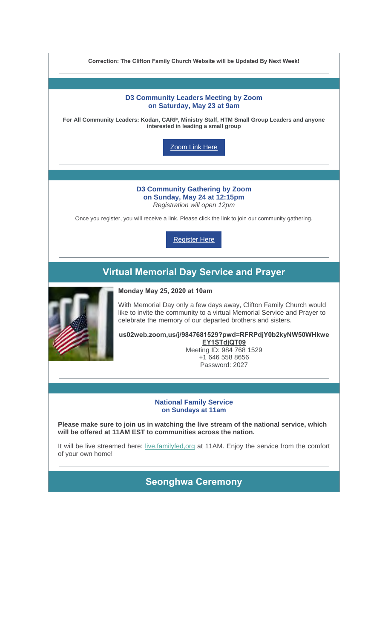| Correction: The Clifton Family Church Website will be Updated By Next Week!                                                                             |                                                                                                                                                                                                                                                                                                                                                                                               |
|---------------------------------------------------------------------------------------------------------------------------------------------------------|-----------------------------------------------------------------------------------------------------------------------------------------------------------------------------------------------------------------------------------------------------------------------------------------------------------------------------------------------------------------------------------------------|
|                                                                                                                                                         |                                                                                                                                                                                                                                                                                                                                                                                               |
| <b>D3 Community Leaders Meeting by Zoom</b><br>on Saturday, May 23 at 9am                                                                               |                                                                                                                                                                                                                                                                                                                                                                                               |
| For All Community Leaders: Kodan, CARP, Ministry Staff, HTM Small Group Leaders and anyone<br>interested in leading a small group                       |                                                                                                                                                                                                                                                                                                                                                                                               |
| Zoom Link Here                                                                                                                                          |                                                                                                                                                                                                                                                                                                                                                                                               |
|                                                                                                                                                         |                                                                                                                                                                                                                                                                                                                                                                                               |
| <b>D3 Community Gathering by Zoom</b><br>on Sunday, May 24 at 12:15pm<br>Registration will open 12pm                                                    |                                                                                                                                                                                                                                                                                                                                                                                               |
| Once you register, you will receive a link. Please click the link to join our community gathering.                                                      |                                                                                                                                                                                                                                                                                                                                                                                               |
|                                                                                                                                                         | <b>Register Here</b>                                                                                                                                                                                                                                                                                                                                                                          |
| <b>Virtual Memorial Day Service and Prayer</b>                                                                                                          |                                                                                                                                                                                                                                                                                                                                                                                               |
|                                                                                                                                                         | <b>Monday May 25, 2020 at 10am</b><br>With Memorial Day only a few days away, Clifton Family Church would<br>like to invite the community to a virtual Memorial Service and Prayer to<br>celebrate the memory of our departed brothers and sisters.<br>us02web.zoom,us/j/9847681529?pwd=RFRPdjY0b2kyNW50WHkwe<br>EY1STdjQT09<br>Meeting ID: 984 768 1529<br>+1 646 558 8656<br>Password: 2027 |
|                                                                                                                                                         |                                                                                                                                                                                                                                                                                                                                                                                               |
| <b>National Family Service</b><br>on Sundays at 11am                                                                                                    |                                                                                                                                                                                                                                                                                                                                                                                               |
| Please make sure to join us in watching the live stream of the national service, which<br>will be offered at 11AM EST to communities across the nation. |                                                                                                                                                                                                                                                                                                                                                                                               |
| It will be live streamed here: live.familyfed.org at 11AM. Enjoy the service from the comfort<br>of your own home!                                      |                                                                                                                                                                                                                                                                                                                                                                                               |
| <b>Seonghwa Ceremony</b>                                                                                                                                |                                                                                                                                                                                                                                                                                                                                                                                               |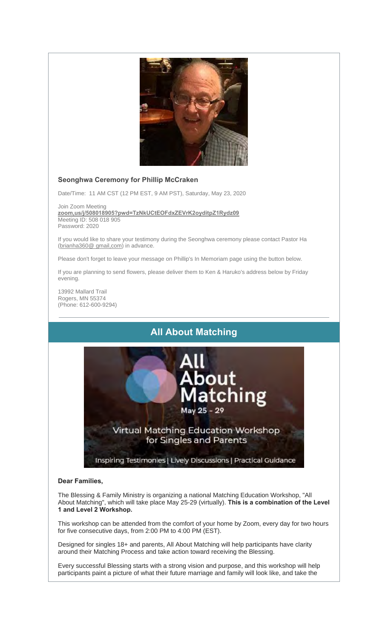

### **Seonghwa Ceremony for Phillip McCraken**

Date/Time: 11 AM CST (12 PM EST, 9 AM PST), Saturday, May 23, 2020

Join Zoom Meeting **zoom,us/j/508018905?pwd=TzNkUCtEOFdxZEVrK2oyditpZ1Rydz09** Meeting ID: 508 018 905 Password: 2020

If you would like to share your testimony during the Seonghwa ceremony please contact Pastor Ha (brianha360@ gmail,com) in advance.

Please don't forget to leave your message on Phillip's In Memoriam page using the button below.

If you are planning to send flowers, please deliver them to Ken & Haruko's address below by Friday evening.

13992 Mallard Trail Rogers, MN 55374 (Phone: 612-600-9294)

# **All About Matching**



#### **Dear Families,**

The Blessing & Family Ministry is organizing a national Matching Education Workshop, "All About Matching", which will take place May 25-29 (virtually). **This is a combination of the Level 1 and Level 2 Workshop.**

This workshop can be attended from the comfort of your home by Zoom, every day for two hours for five consecutive days, from 2:00 PM to 4:00 PM (EST).

Designed for singles 18+ and parents, All About Matching will help participants have clarity around their Matching Process and take action toward receiving the Blessing.

Every successful Blessing starts with a strong vision and purpose, and this workshop will help participants paint a picture of what their future marriage and family will look like, and take the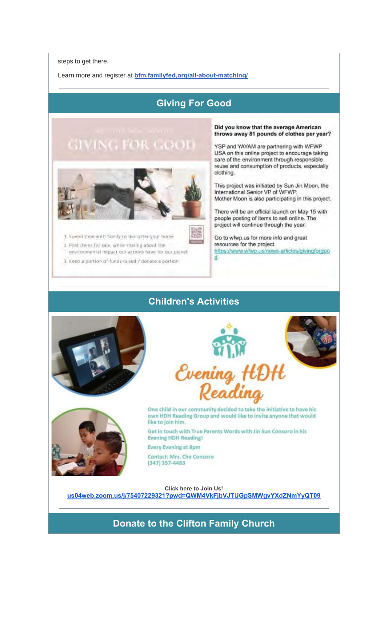steps to get there.

Learn more and register at **bfm.familyfed,org/all-about-matching/**

# **Giving For Good**

# **GIVING FOR GOOD**



1. Spend time with family to declutter your home 2. Post items for sale, while sharing about the environmental impact our actions have for our planet

3. Keep a portion of funds raised / denate a portion

Did you know that the average American throws away 81 pounds of clothes per year?

YSP and YAYAM are partnering with WFWP USA on this online project to encourage taking care of the environment through responsible reuse and consumption of products, especially clothing.

This project was initiated by Sun Jin Moon, the International Senior VP of WFWP. Mother Moon is also participating in this project.

There will be an official launch on May 15 with people posting of items to sell online. The project will continue through the year.

Go to wfwp.us for more info and great resources for the project. https://www.wfwo.us/news-articles/givingforgoo ₫

## **Children's Activities**







One child in our community decided to take the initiative to have his own HDH Reading Group and would like to invite anyone that would like to join him.

Get in touch with True Parents Words with Jin Sun Consoro in his **Evening HDH Reading!** 

Every Evening at 8pm

Contact: Mrs. Che Consoro  $(347)$  357-4483

**Click here to Join Us!**

**us04web.zoom,us/j/75407229321?pwd=QWM4VkFjbVJTUGpSMWgvYXdZNmYyQT09**

# **Donate to the Clifton Family Church**